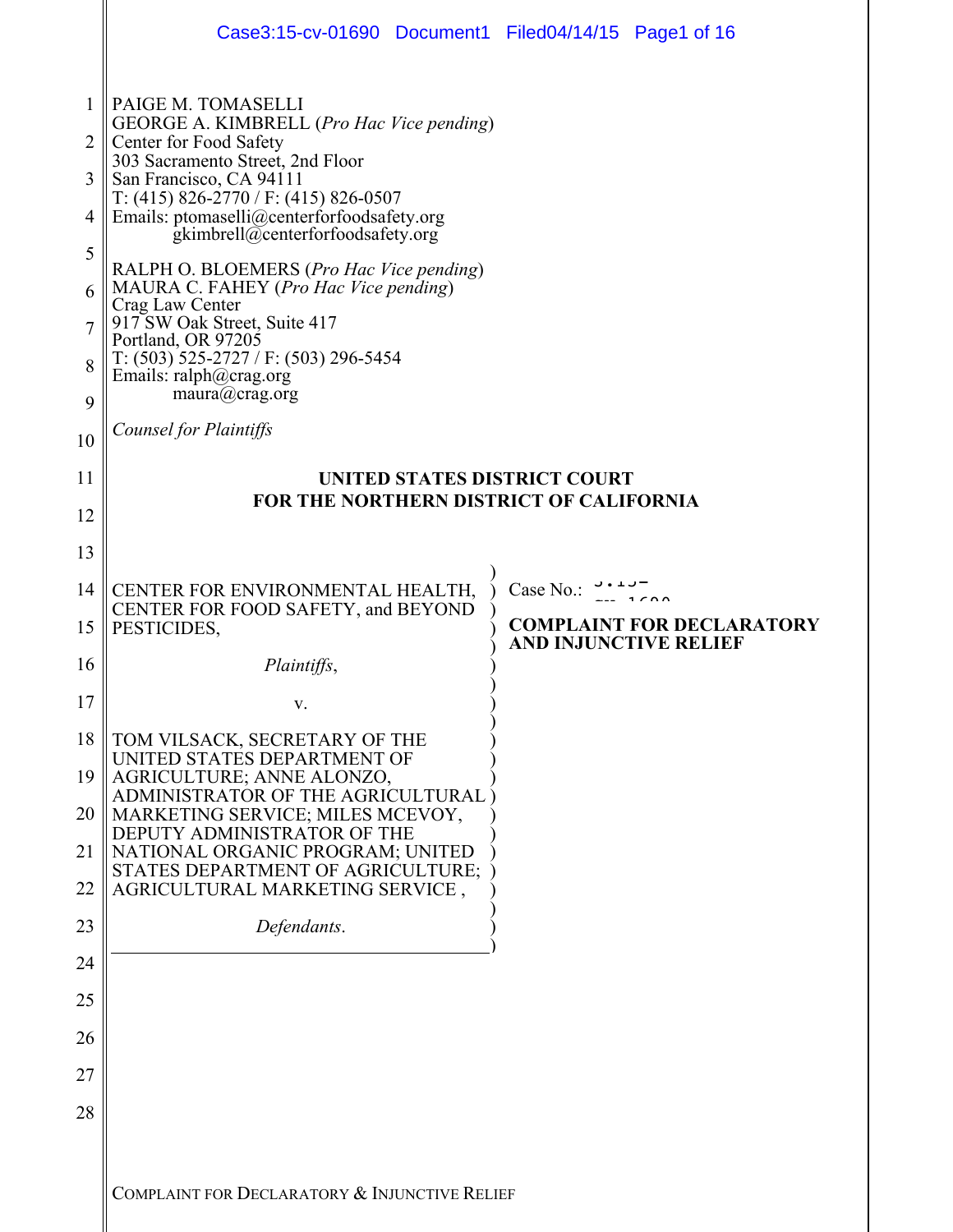|                | Case3:15-cv-01690 Document1 Filed04/14/15 Page1 of 16                                                                                                    |                                                                  |  |  |
|----------------|----------------------------------------------------------------------------------------------------------------------------------------------------------|------------------------------------------------------------------|--|--|
| 1<br>2<br>3    | PAIGE M. TOMASELLI<br>GEORGE A. KIMBRELL (Pro Hac Vice pending)<br>Center for Food Safety<br>303 Sacramento Street, 2nd Floor<br>San Francisco, CA 94111 |                                                                  |  |  |
| $\overline{4}$ | T: $(415)$ 826-2770 / F: $(415)$ 826-0507<br>Emails: ptomaselli@centerforfoodsafety.org<br>gkimbrell@centerforfoodsafety.org                             |                                                                  |  |  |
| 5<br>6         | RALPH O. BLOEMERS (Pro Hac Vice pending)<br>MAURA C. FAHEY (Pro Hac Vice pending)<br>Crag Law Center                                                     |                                                                  |  |  |
| 7<br>8         | 917 SW Oak Street, Suite 417<br>Portland, OR 97205<br>$T: (503)$ 525-2727 / F: (503) 296-5454<br>Emails: ralph@crag.org                                  |                                                                  |  |  |
| 9<br>10        | maura@crag.org<br><b>Counsel for Plaintiffs</b>                                                                                                          |                                                                  |  |  |
| 11             | UNITED STATES DISTRICT COURT                                                                                                                             |                                                                  |  |  |
| 12<br>13       | <b>FOR THE NORTHERN DISTRICT OF CALIFORNIA</b>                                                                                                           |                                                                  |  |  |
| 14             | CENTER FOR ENVIRONMENTAL HEALTH,                                                                                                                         | Case No.: $3.13$                                                 |  |  |
| 15             | CENTER FOR FOOD SAFETY, and BEYOND<br>PESTICIDES,                                                                                                        | <b>COMPLAINT FOR DECLARATORY</b><br><b>AND INJUNCTIVE RELIEF</b> |  |  |
| 16             | <i>Plaintiffs,</i>                                                                                                                                       |                                                                  |  |  |
| 17             |                                                                                                                                                          |                                                                  |  |  |
| 18<br>19       | TOM VILSACK, SECRETARY OF THE<br>UNITED STATES DEPARTMENT OF<br>AGRICULTURE; ANNE ALONZO,<br>ADMINISTRATOR OF THE AGRICULTURAL                           |                                                                  |  |  |
| 20             | MARKETING SERVICE; MILES MCEVOY,<br>DEPUTY ADMINISTRATOR OF THE                                                                                          |                                                                  |  |  |
| 21<br>22       | NATIONAL ORGANIC PROGRAM; UNITED<br>STATES DEPARTMENT OF AGRICULTURE;<br>AGRICULTURAL MARKETING SERVICE,                                                 |                                                                  |  |  |
| 23             | Defendants.                                                                                                                                              |                                                                  |  |  |
| 24             |                                                                                                                                                          |                                                                  |  |  |
| 25             |                                                                                                                                                          |                                                                  |  |  |
| 26             |                                                                                                                                                          |                                                                  |  |  |
| 27             |                                                                                                                                                          |                                                                  |  |  |
| 28             |                                                                                                                                                          |                                                                  |  |  |
|                | COMPLAINT FOR DECLARATORY & INJUNCTIVE RELIEF                                                                                                            |                                                                  |  |  |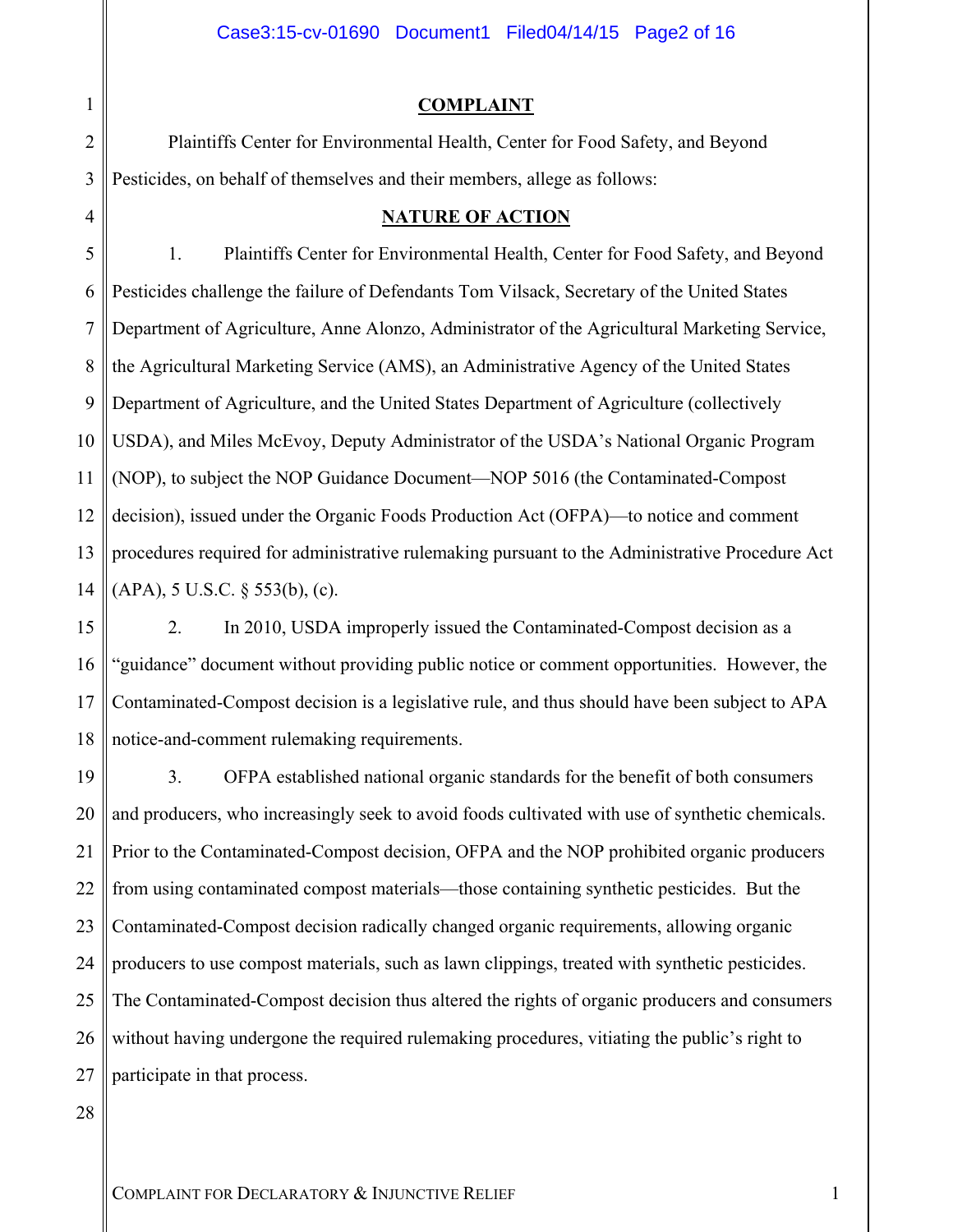#### Case3:15-cv-01690 Document1 Filed04/14/15 Page2 of 16

#### **COMPLAINT**

Plaintiffs Center for Environmental Health, Center for Food Safety, and Beyond Pesticides, on behalf of themselves and their members, allege as follows:

#### **NATURE OF ACTION**

5 6 7 8 9 14 1. Plaintiffs Center for Environmental Health, Center for Food Safety, and Beyond Pesticides challenge the failure of Defendants Tom Vilsack, Secretary of the United States Department of Agriculture, Anne Alonzo, Administrator of the Agricultural Marketing Service, the Agricultural Marketing Service (AMS), an Administrative Agency of the United States Department of Agriculture, and the United States Department of Agriculture (collectively USDA), and Miles McEvoy, Deputy Administrator of the USDA's National Organic Program (NOP), to subject the NOP Guidance Document—NOP 5016 (the Contaminated-Compost decision), issued under the Organic Foods Production Act (OFPA)—to notice and comment procedures required for administrative rulemaking pursuant to the Administrative Procedure Act (APA), 5 U.S.C. § 553(b), (c).

15 16 17 18 2. In 2010, USDA improperly issued the Contaminated-Compost decision as a "guidance" document without providing public notice or comment opportunities. However, the Contaminated-Compost decision is a legislative rule, and thus should have been subject to APA notice-and-comment rulemaking requirements.

19 20 21 22 23 24 25 26 27 3. OFPA established national organic standards for the benefit of both consumers and producers, who increasingly seek to avoid foods cultivated with use of synthetic chemicals. Prior to the Contaminated-Compost decision, OFPA and the NOP prohibited organic producers from using contaminated compost materials—those containing synthetic pesticides. But the Contaminated-Compost decision radically changed organic requirements, allowing organic producers to use compost materials, such as lawn clippings, treated with synthetic pesticides. The Contaminated-Compost decision thus altered the rights of organic producers and consumers without having undergone the required rulemaking procedures, vitiating the public's right to participate in that process.

28

1

2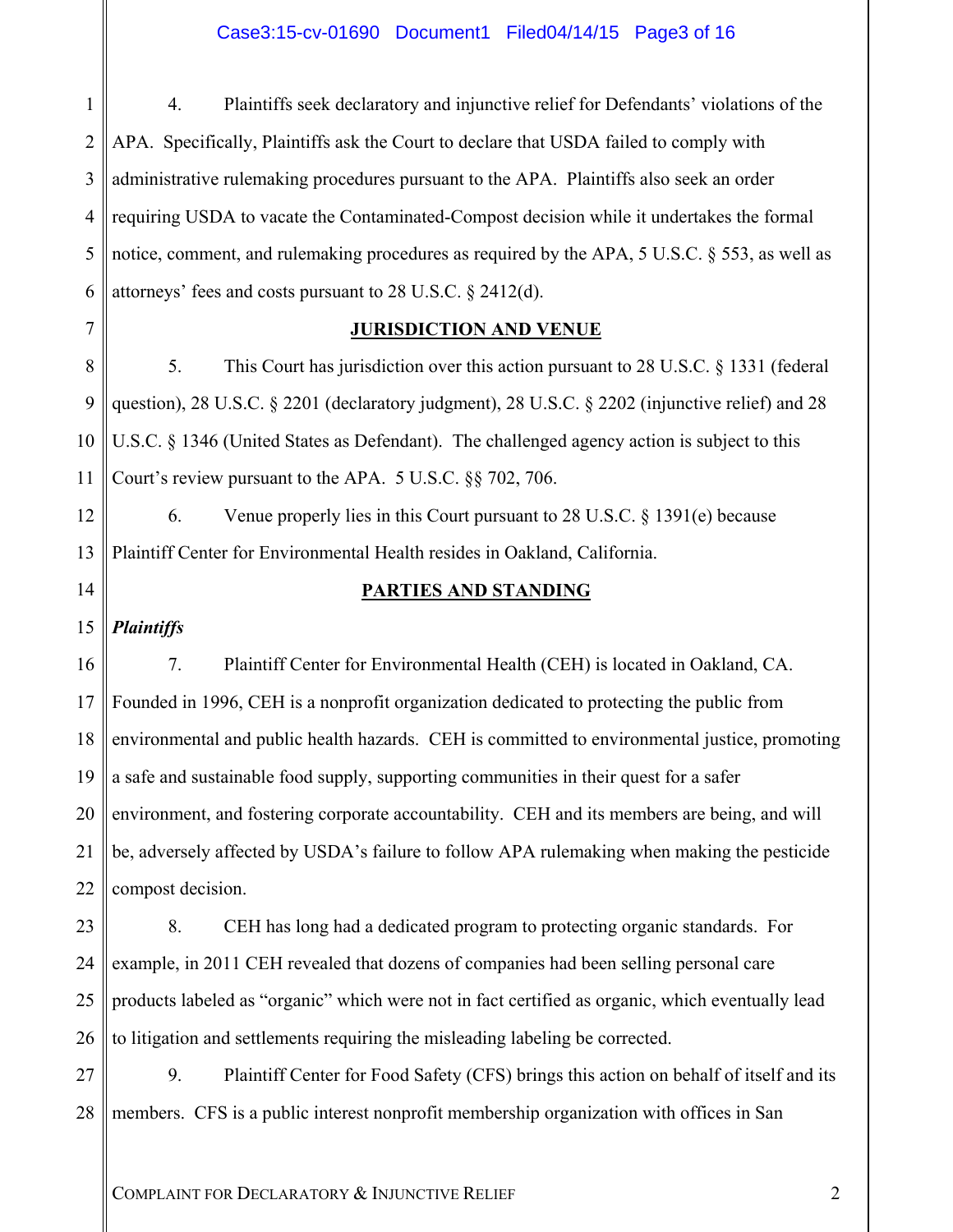### Case3:15-cv-01690 Document1 Filed04/14/15 Page3 of 16

1 2 3 4 5 6 4. Plaintiffs seek declaratory and injunctive relief for Defendants' violations of the APA. Specifically, Plaintiffs ask the Court to declare that USDA failed to comply with administrative rulemaking procedures pursuant to the APA. Plaintiffs also seek an order requiring USDA to vacate the Contaminated-Compost decision while it undertakes the formal notice, comment, and rulemaking procedures as required by the APA, 5 U.S.C. § 553, as well as attorneys' fees and costs pursuant to 28 U.S.C. § 2412(d).

# 7

12

13

14

#### **JURISDICTION AND VENUE**

8 9 10 11 5. This Court has jurisdiction over this action pursuant to 28 U.S.C. § 1331 (federal question), 28 U.S.C. § 2201 (declaratory judgment), 28 U.S.C. § 2202 (injunctive relief) and 28 U.S.C. § 1346 (United States as Defendant). The challenged agency action is subject to this Court's review pursuant to the APA. 5 U.S.C. §§ 702, 706.

6. Venue properly lies in this Court pursuant to 28 U.S.C.  $\S$  1391(e) because Plaintiff Center for Environmental Health resides in Oakland, California.

#### **PARTIES AND STANDING**

15 *Plaintiffs* 

16 17 18 19 20 21 22 7. Plaintiff Center for Environmental Health (CEH) is located in Oakland, CA. Founded in 1996, CEH is a nonprofit organization dedicated to protecting the public from environmental and public health hazards. CEH is committed to environmental justice, promoting a safe and sustainable food supply, supporting communities in their quest for a safer environment, and fostering corporate accountability. CEH and its members are being, and will be, adversely affected by USDA's failure to follow APA rulemaking when making the pesticide compost decision.

23 24 25 26 8. CEH has long had a dedicated program to protecting organic standards. For example, in 2011 CEH revealed that dozens of companies had been selling personal care products labeled as "organic" which were not in fact certified as organic, which eventually lead to litigation and settlements requiring the misleading labeling be corrected.

27 28 9. Plaintiff Center for Food Safety (CFS) brings this action on behalf of itself and its members. CFS is a public interest nonprofit membership organization with offices in San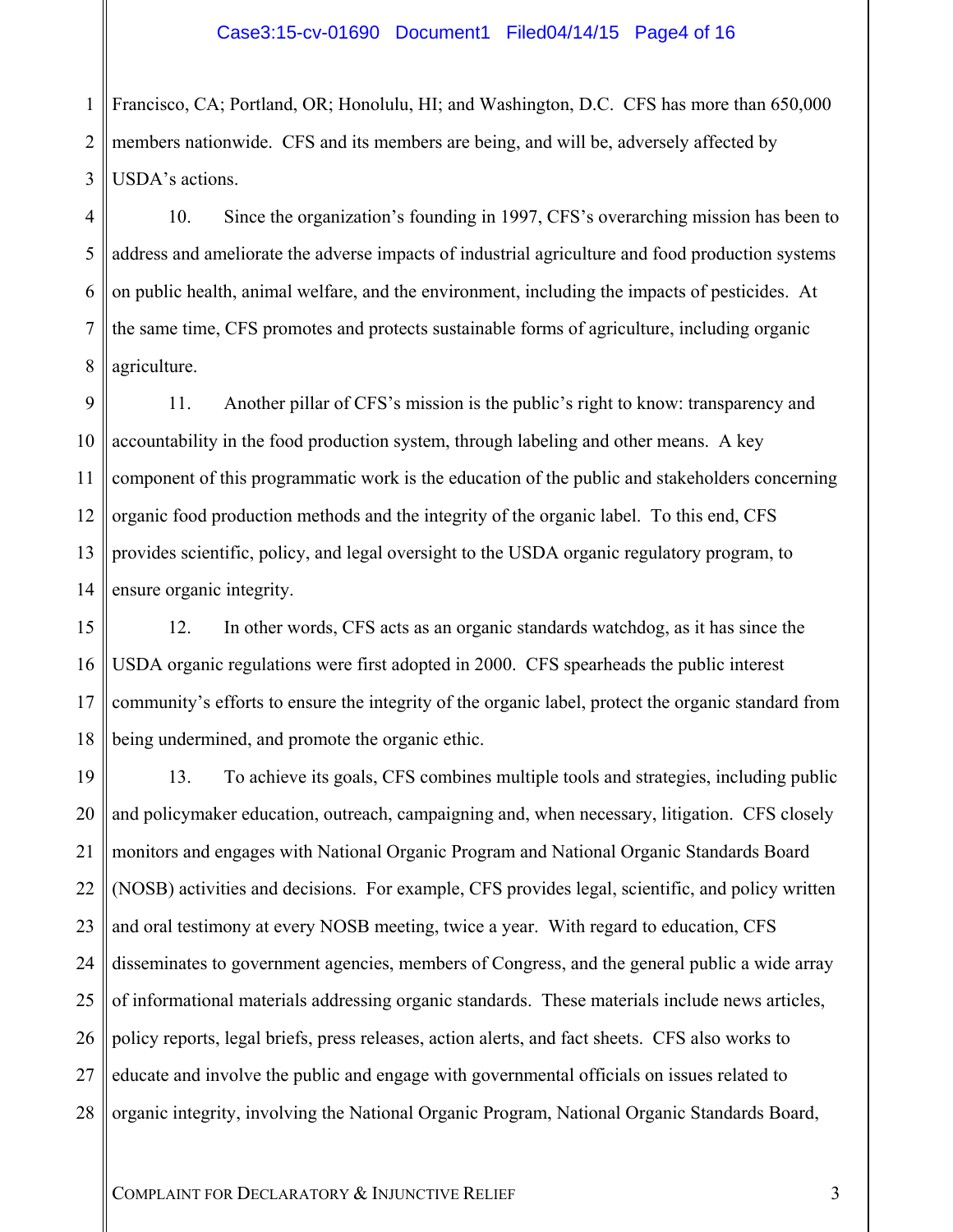1 2 3 Francisco, CA; Portland, OR; Honolulu, HI; and Washington, D.C. CFS has more than 650,000 members nationwide. CFS and its members are being, and will be, adversely affected by USDA's actions.

4 5 6 7 8 10. Since the organization's founding in 1997, CFS's overarching mission has been to address and ameliorate the adverse impacts of industrial agriculture and food production systems on public health, animal welfare, and the environment, including the impacts of pesticides. At the same time, CFS promotes and protects sustainable forms of agriculture, including organic agriculture.

9 10 11 12 13 14 11. Another pillar of CFS's mission is the public's right to know: transparency and accountability in the food production system, through labeling and other means. A key component of this programmatic work is the education of the public and stakeholders concerning organic food production methods and the integrity of the organic label. To this end, CFS provides scientific, policy, and legal oversight to the USDA organic regulatory program, to ensure organic integrity.

15 16 17 18 12. In other words, CFS acts as an organic standards watchdog, as it has since the USDA organic regulations were first adopted in 2000. CFS spearheads the public interest community's efforts to ensure the integrity of the organic label, protect the organic standard from being undermined, and promote the organic ethic.

19 20 21 22 23 24 25 26 27 28 13. To achieve its goals, CFS combines multiple tools and strategies, including public and policymaker education, outreach, campaigning and, when necessary, litigation. CFS closely monitors and engages with National Organic Program and National Organic Standards Board (NOSB) activities and decisions. For example, CFS provides legal, scientific, and policy written and oral testimony at every NOSB meeting, twice a year. With regard to education, CFS disseminates to government agencies, members of Congress, and the general public a wide array of informational materials addressing organic standards. These materials include news articles, policy reports, legal briefs, press releases, action alerts, and fact sheets. CFS also works to educate and involve the public and engage with governmental officials on issues related to organic integrity, involving the National Organic Program, National Organic Standards Board,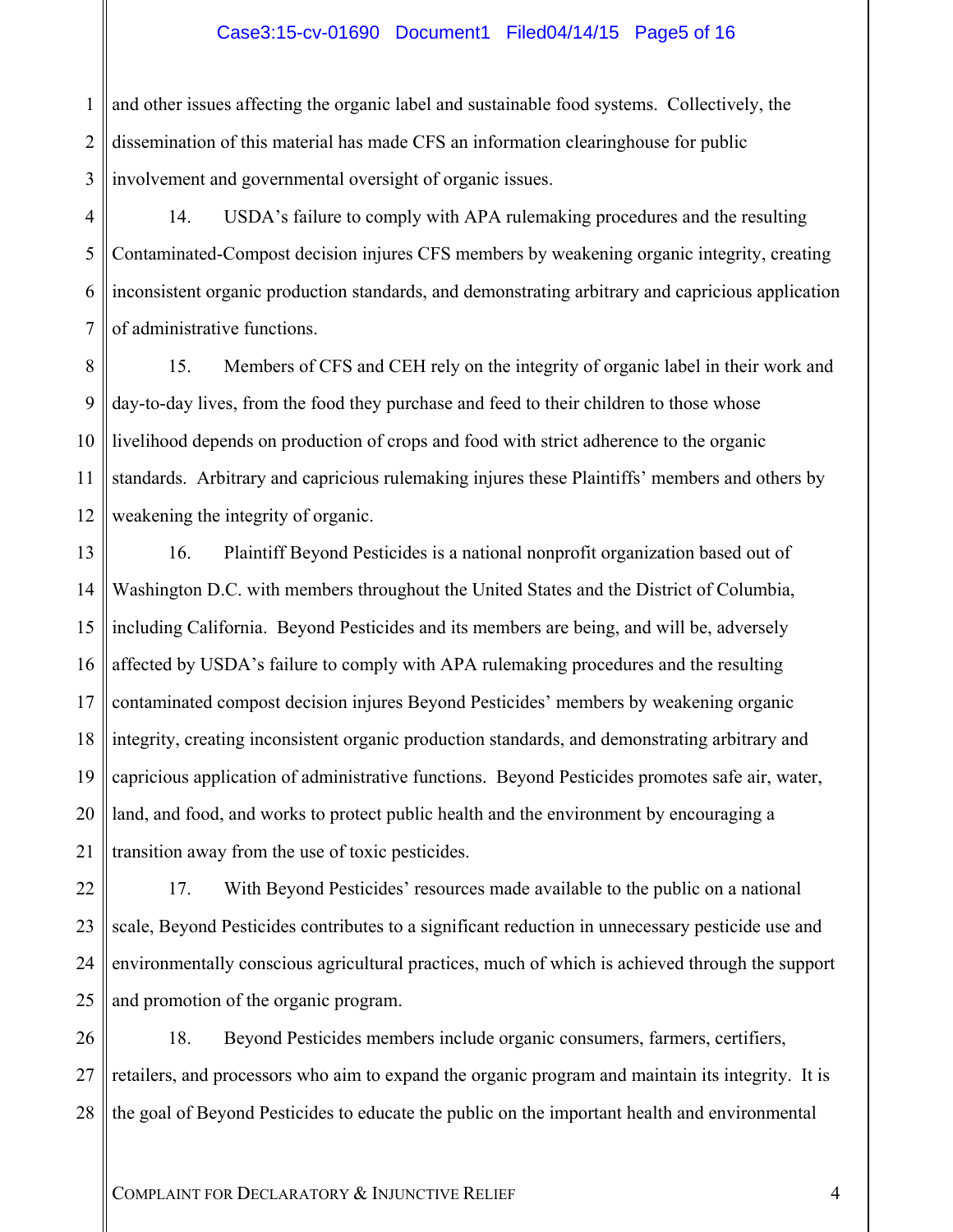#### Case3:15-cv-01690 Document1 Filed04/14/15 Page5 of 16

1 2 3 and other issues affecting the organic label and sustainable food systems. Collectively, the dissemination of this material has made CFS an information clearinghouse for public involvement and governmental oversight of organic issues.

4 5 6 7 14. USDA's failure to comply with APA rulemaking procedures and the resulting Contaminated-Compost decision injures CFS members by weakening organic integrity, creating inconsistent organic production standards, and demonstrating arbitrary and capricious application of administrative functions.

8 9 10 11 12 15. Members of CFS and CEH rely on the integrity of organic label in their work and day-to-day lives, from the food they purchase and feed to their children to those whose livelihood depends on production of crops and food with strict adherence to the organic standards. Arbitrary and capricious rulemaking injures these Plaintiffs' members and others by weakening the integrity of organic.

13 14 15 16 17 18 19 20 21 16. Plaintiff Beyond Pesticides is a national nonprofit organization based out of Washington D.C. with members throughout the United States and the District of Columbia, including California. Beyond Pesticides and its members are being, and will be, adversely affected by USDA's failure to comply with APA rulemaking procedures and the resulting contaminated compost decision injures Beyond Pesticides' members by weakening organic integrity, creating inconsistent organic production standards, and demonstrating arbitrary and capricious application of administrative functions. Beyond Pesticides promotes safe air, water, land, and food, and works to protect public health and the environment by encouraging a transition away from the use of toxic pesticides.

22 23 24 25 17. With Beyond Pesticides' resources made available to the public on a national scale, Beyond Pesticides contributes to a significant reduction in unnecessary pesticide use and environmentally conscious agricultural practices, much of which is achieved through the support and promotion of the organic program.

26 27 28 18. Beyond Pesticides members include organic consumers, farmers, certifiers, retailers, and processors who aim to expand the organic program and maintain its integrity. It is the goal of Beyond Pesticides to educate the public on the important health and environmental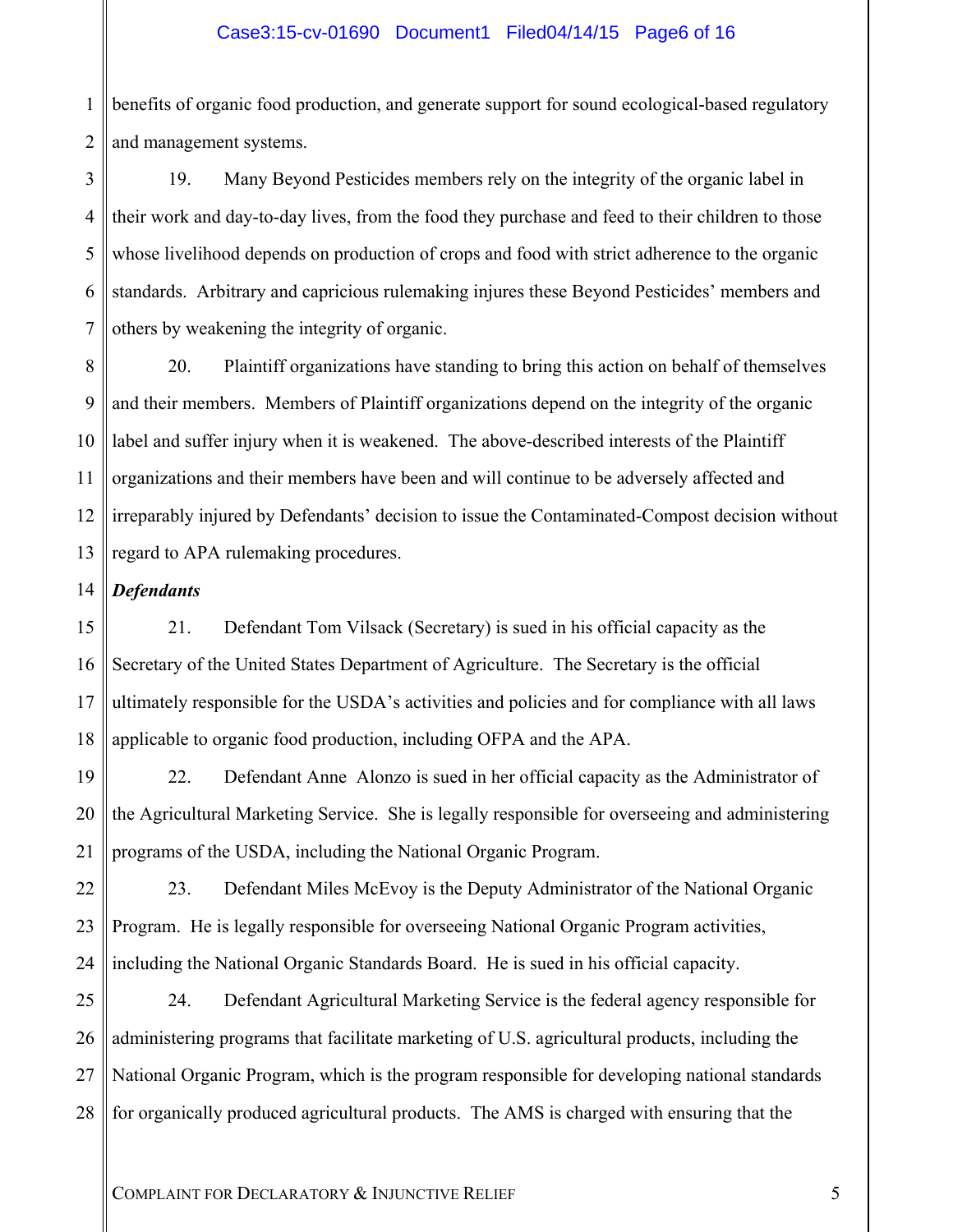#### Case3:15-cv-01690 Document1 Filed04/14/15 Page6 of 16

1 2 benefits of organic food production, and generate support for sound ecological-based regulatory and management systems.

3 4 5 6 7 19. Many Beyond Pesticides members rely on the integrity of the organic label in their work and day-to-day lives, from the food they purchase and feed to their children to those whose livelihood depends on production of crops and food with strict adherence to the organic standards. Arbitrary and capricious rulemaking injures these Beyond Pesticides' members and others by weakening the integrity of organic.

8 9 10 11 12 13 20. Plaintiff organizations have standing to bring this action on behalf of themselves and their members. Members of Plaintiff organizations depend on the integrity of the organic label and suffer injury when it is weakened. The above-described interests of the Plaintiff organizations and their members have been and will continue to be adversely affected and irreparably injured by Defendants' decision to issue the Contaminated-Compost decision without regard to APA rulemaking procedures.

14 *Defendants* 

15 16 17 18 21. Defendant Tom Vilsack (Secretary) is sued in his official capacity as the Secretary of the United States Department of Agriculture. The Secretary is the official ultimately responsible for the USDA's activities and policies and for compliance with all laws applicable to organic food production, including OFPA and the APA.

19 20 21 22. Defendant Anne Alonzo is sued in her official capacity as the Administrator of the Agricultural Marketing Service. She is legally responsible for overseeing and administering programs of the USDA, including the National Organic Program.

22 23 24 23. Defendant Miles McEvoy is the Deputy Administrator of the National Organic Program. He is legally responsible for overseeing National Organic Program activities, including the National Organic Standards Board. He is sued in his official capacity.

25 26 27 28 24. Defendant Agricultural Marketing Service is the federal agency responsible for administering programs that facilitate marketing of U.S. agricultural products, including the National Organic Program, which is the program responsible for developing national standards for organically produced agricultural products. The AMS is charged with ensuring that the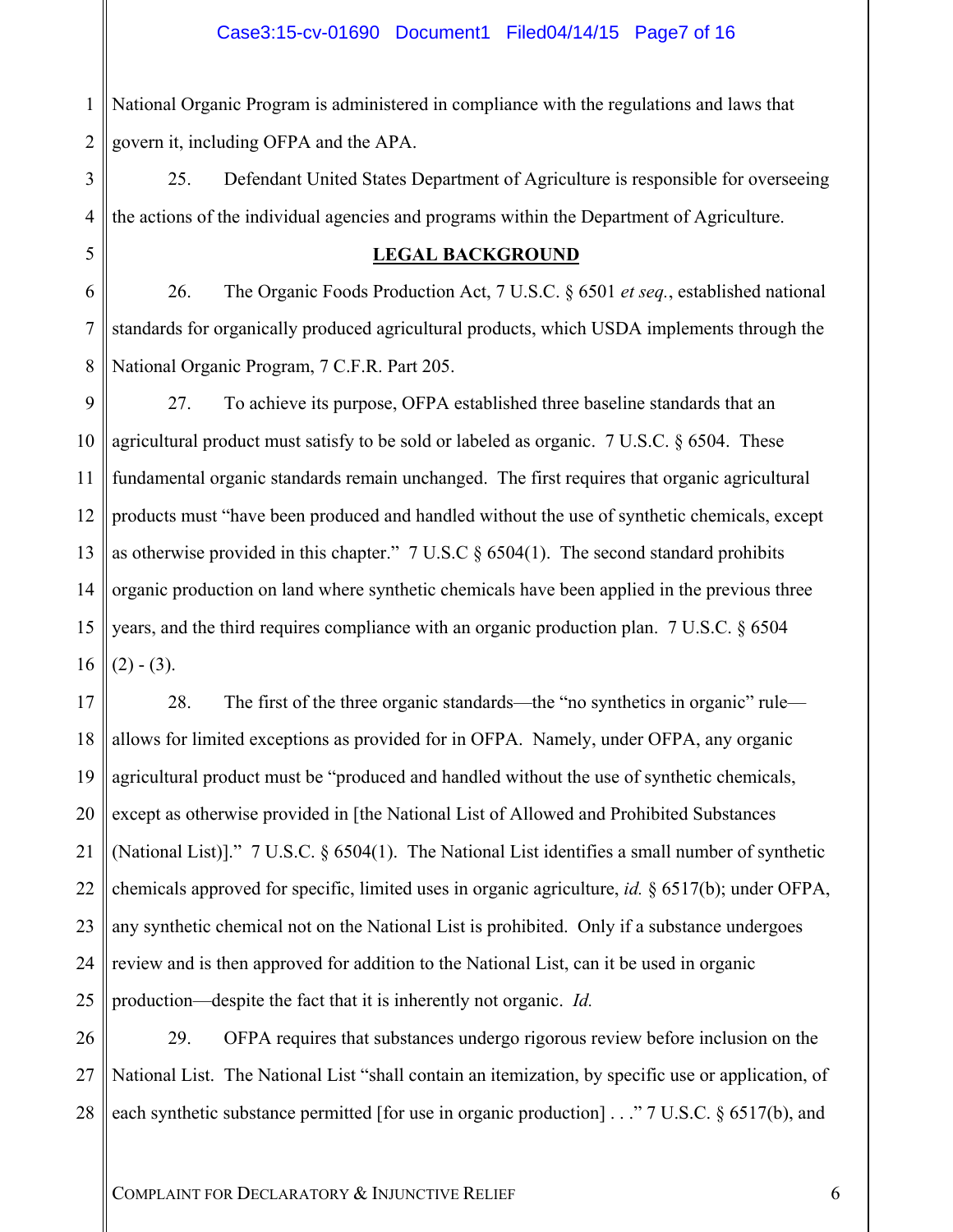1 2 National Organic Program is administered in compliance with the regulations and laws that govern it, including OFPA and the APA.

5

3 4 25. Defendant United States Department of Agriculture is responsible for overseeing the actions of the individual agencies and programs within the Department of Agriculture.

#### **LEGAL BACKGROUND**

6 7 8 26. The Organic Foods Production Act, 7 U.S.C. § 6501 *et seq.*, established national standards for organically produced agricultural products, which USDA implements through the National Organic Program, 7 C.F.R. Part 205.

9 10 11 12 13 14 15 16 27. To achieve its purpose, OFPA established three baseline standards that an agricultural product must satisfy to be sold or labeled as organic. 7 U.S.C. § 6504. These fundamental organic standards remain unchanged. The first requires that organic agricultural products must "have been produced and handled without the use of synthetic chemicals, except as otherwise provided in this chapter." 7 U.S.C § 6504(1). The second standard prohibits organic production on land where synthetic chemicals have been applied in the previous three years, and the third requires compliance with an organic production plan. 7 U.S.C. § 6504  $(2) - (3)$ .

17 18 19 20 21 22 23 24 25 28. The first of the three organic standards—the "no synthetics in organic" rule allows for limited exceptions as provided for in OFPA. Namely, under OFPA, any organic agricultural product must be "produced and handled without the use of synthetic chemicals, except as otherwise provided in [the National List of Allowed and Prohibited Substances (National List)]." 7 U.S.C. § 6504(1). The National List identifies a small number of synthetic chemicals approved for specific, limited uses in organic agriculture, *id.* § 6517(b); under OFPA, any synthetic chemical not on the National List is prohibited. Only if a substance undergoes review and is then approved for addition to the National List, can it be used in organic production—despite the fact that it is inherently not organic. *Id.*

26 27 28 29. OFPA requires that substances undergo rigorous review before inclusion on the National List. The National List "shall contain an itemization, by specific use or application, of each synthetic substance permitted [for use in organic production] . . ." 7 U.S.C. § 6517(b), and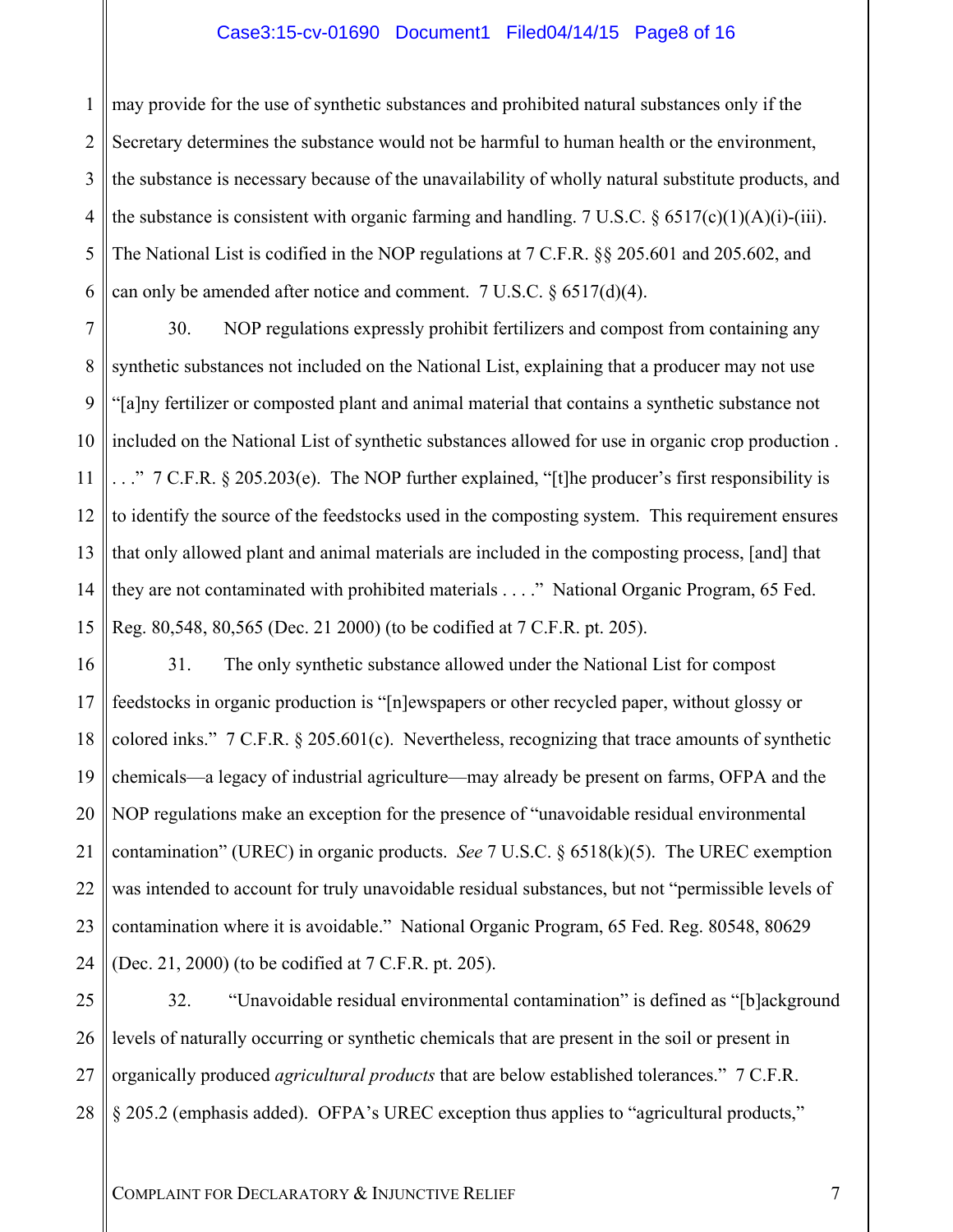#### Case3:15-cv-01690 Document1 Filed04/14/15 Page8 of 16

1 2 3 4 5 6 may provide for the use of synthetic substances and prohibited natural substances only if the Secretary determines the substance would not be harmful to human health or the environment, the substance is necessary because of the unavailability of wholly natural substitute products, and the substance is consistent with organic farming and handling. 7 U.S.C.  $\delta$  6517(c)(1)(A)(i)-(iii). The National List is codified in the NOP regulations at 7 C.F.R. §§ 205.601 and 205.602, and can only be amended after notice and comment. 7 U.S.C. § 6517(d)(4).

7 8 9 10 11 12 13 14 15 30. NOP regulations expressly prohibit fertilizers and compost from containing any synthetic substances not included on the National List, explaining that a producer may not use "[a]ny fertilizer or composted plant and animal material that contains a synthetic substance not included on the National List of synthetic substances allowed for use in organic crop production .  $\therefore$  " 7 C.F.R. § 205.203(e). The NOP further explained, "[t]he producer's first responsibility is to identify the source of the feedstocks used in the composting system. This requirement ensures that only allowed plant and animal materials are included in the composting process, [and] that they are not contaminated with prohibited materials . . . ." National Organic Program, 65 Fed. Reg. 80,548, 80,565 (Dec. 21 2000) (to be codified at 7 C.F.R. pt. 205).

16 17 18 19 20 21 22 23 24 31. The only synthetic substance allowed under the National List for compost feedstocks in organic production is "[n]ewspapers or other recycled paper, without glossy or colored inks." 7 C.F.R. § 205.601(c). Nevertheless, recognizing that trace amounts of synthetic chemicals—a legacy of industrial agriculture—may already be present on farms, OFPA and the NOP regulations make an exception for the presence of "unavoidable residual environmental contamination" (UREC) in organic products. *See* 7 U.S.C. § 6518(k)(5). The UREC exemption was intended to account for truly unavoidable residual substances, but not "permissible levels of contamination where it is avoidable." National Organic Program, 65 Fed. Reg. 80548, 80629 (Dec. 21, 2000) (to be codified at 7 C.F.R. pt. 205).

25 26 27 28 32. "Unavoidable residual environmental contamination" is defined as "[b]ackground levels of naturally occurring or synthetic chemicals that are present in the soil or present in organically produced *agricultural products* that are below established tolerances." 7 C.F.R. § 205.2 (emphasis added). OFPA's UREC exception thus applies to "agricultural products,"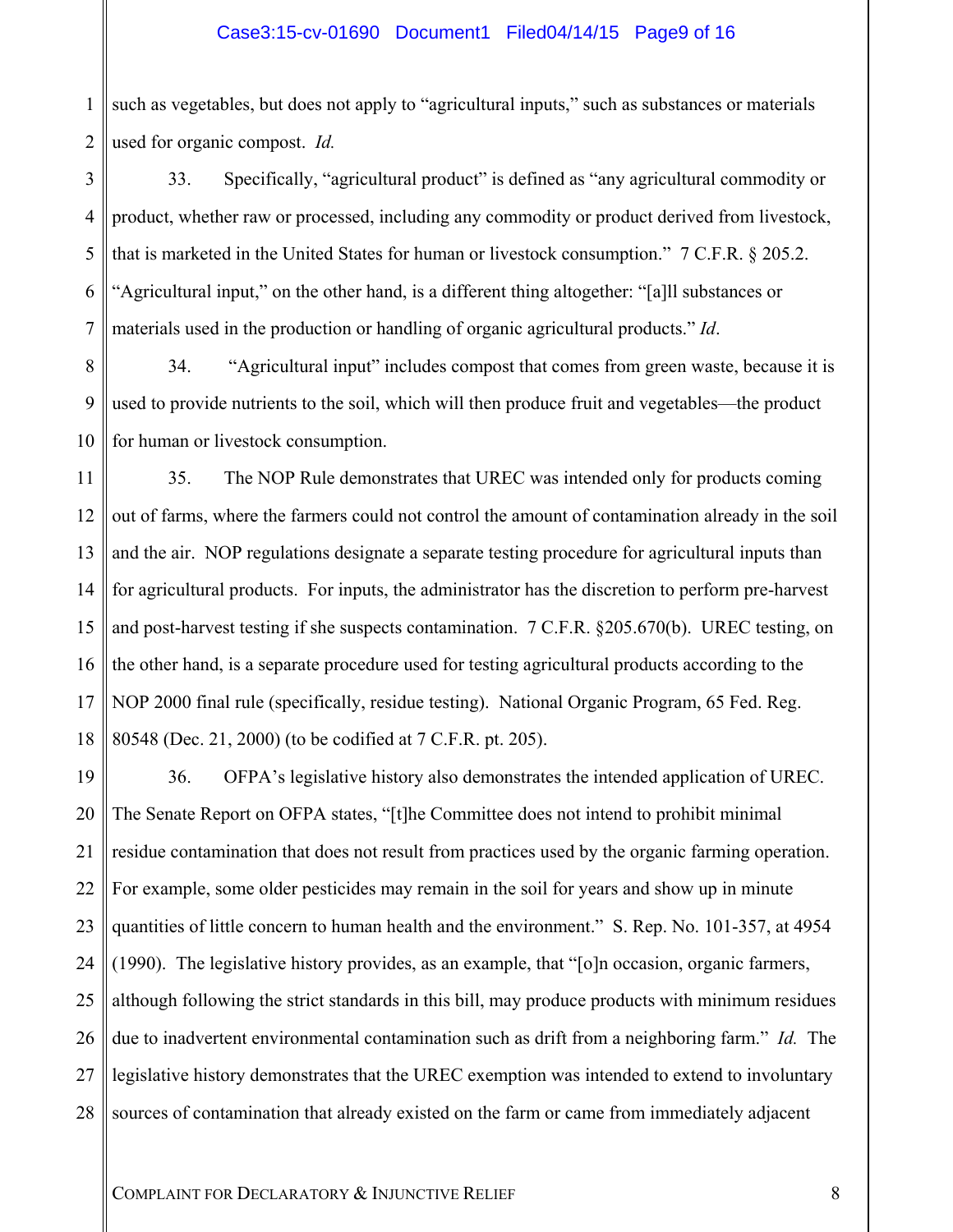#### Case3:15-cv-01690 Document1 Filed04/14/15 Page9 of 16

1 2 such as vegetables, but does not apply to "agricultural inputs," such as substances or materials used for organic compost. *Id.*

3 4 5 6 7 33. Specifically, "agricultural product" is defined as "any agricultural commodity or product, whether raw or processed, including any commodity or product derived from livestock, that is marketed in the United States for human or livestock consumption." 7 C.F.R. § 205.2. "Agricultural input," on the other hand, is a different thing altogether: "[a]ll substances or materials used in the production or handling of organic agricultural products." *Id*.

8 9 10 34. "Agricultural input" includes compost that comes from green waste, because it is used to provide nutrients to the soil, which will then produce fruit and vegetables—the product for human or livestock consumption.

11 12 13 14 15 16 17 18 35. The NOP Rule demonstrates that UREC was intended only for products coming out of farms, where the farmers could not control the amount of contamination already in the soil and the air. NOP regulations designate a separate testing procedure for agricultural inputs than for agricultural products. For inputs, the administrator has the discretion to perform pre-harvest and post-harvest testing if she suspects contamination. 7 C.F.R. §205.670(b). UREC testing, on the other hand, is a separate procedure used for testing agricultural products according to the NOP 2000 final rule (specifically, residue testing). National Organic Program, 65 Fed. Reg. 80548 (Dec. 21, 2000) (to be codified at 7 C.F.R. pt. 205).

19 20 21 22 23 24 25 26 27 28 36. OFPA's legislative history also demonstrates the intended application of UREC. The Senate Report on OFPA states, "[t]he Committee does not intend to prohibit minimal residue contamination that does not result from practices used by the organic farming operation. For example, some older pesticides may remain in the soil for years and show up in minute quantities of little concern to human health and the environment." S. Rep. No. 101-357, at 4954 (1990). The legislative history provides, as an example, that "[o]n occasion, organic farmers, although following the strict standards in this bill, may produce products with minimum residues due to inadvertent environmental contamination such as drift from a neighboring farm." *Id.* The legislative history demonstrates that the UREC exemption was intended to extend to involuntary sources of contamination that already existed on the farm or came from immediately adjacent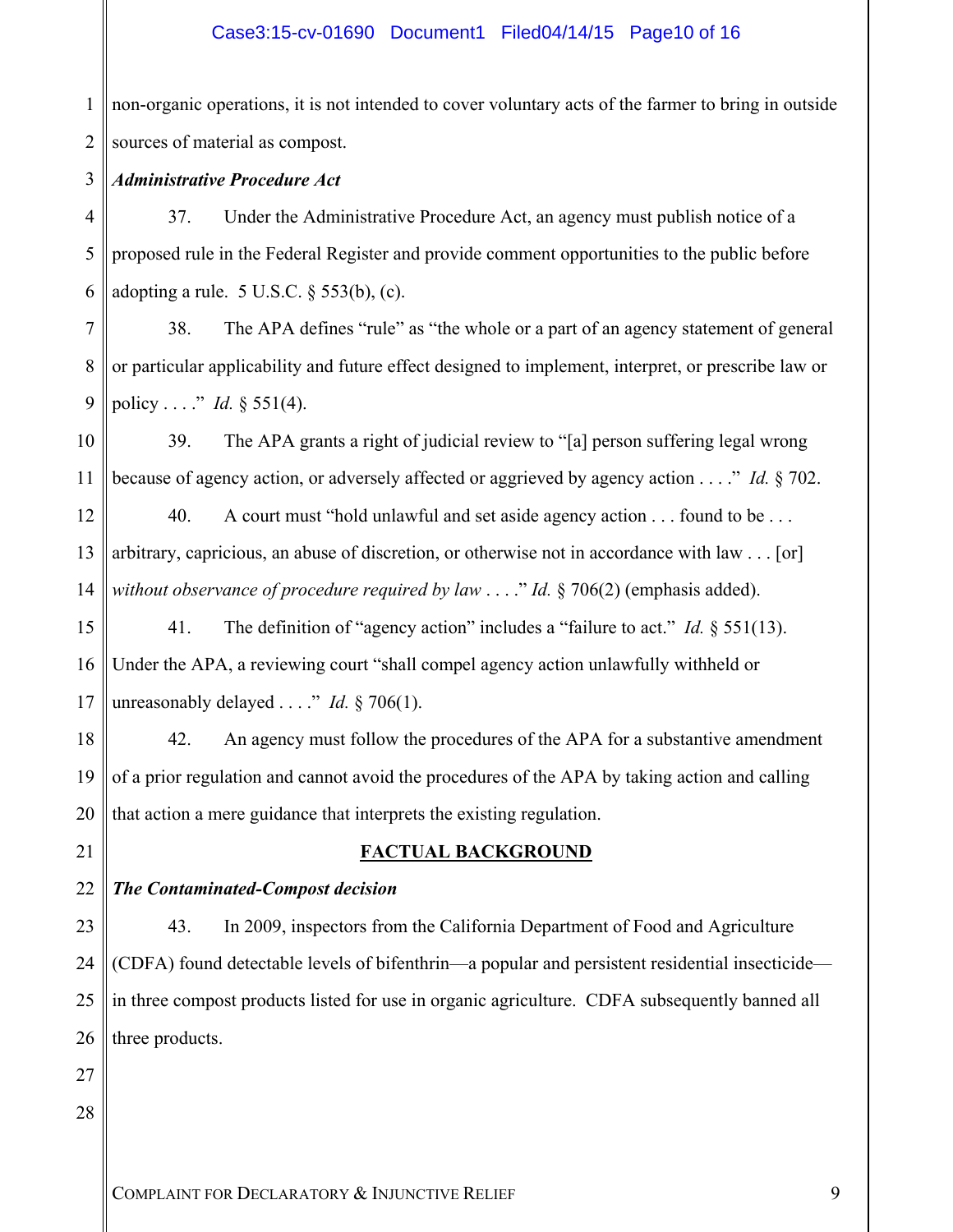## Case3:15-cv-01690 Document1 Filed04/14/15 Page10 of 16

1 2 non-organic operations, it is not intended to cover voluntary acts of the farmer to bring in outside sources of material as compost.

#### 3 *Administrative Procedure Act*

4 5 6 37. Under the Administrative Procedure Act, an agency must publish notice of a proposed rule in the Federal Register and provide comment opportunities to the public before adopting a rule.  $5 \text{ U.S.C. }$   $§$   $553(b)$ , (c).

7 8 9 38. The APA defines "rule" as "the whole or a part of an agency statement of general or particular applicability and future effect designed to implement, interpret, or prescribe law or policy . . . ." *Id.* § 551(4).

10 11 39. The APA grants a right of judicial review to "[a] person suffering legal wrong because of agency action, or adversely affected or aggrieved by agency action . . . ." *Id.* § 702.

12 13 14 40. A court must "hold unlawful and set aside agency action . . . found to be . . . arbitrary, capricious, an abuse of discretion, or otherwise not in accordance with law . . . [or] *without observance of procedure required by law* . . . ." *Id.* § 706(2) (emphasis added).

15 16 17 41. The definition of "agency action" includes a "failure to act." *Id.* § 551(13). Under the APA, a reviewing court "shall compel agency action unlawfully withheld or unreasonably delayed . . . ." *Id.* § 706(1).

18 19 20 42. An agency must follow the procedures of the APA for a substantive amendment of a prior regulation and cannot avoid the procedures of the APA by taking action and calling that action a mere guidance that interprets the existing regulation.

#### **FACTUAL BACKGROUND**

22 *The Contaminated-Compost decision* 

23 24 25 26 43. In 2009, inspectors from the California Department of Food and Agriculture (CDFA) found detectable levels of bifenthrin—a popular and persistent residential insecticide in three compost products listed for use in organic agriculture. CDFA subsequently banned all three products.

27 28

21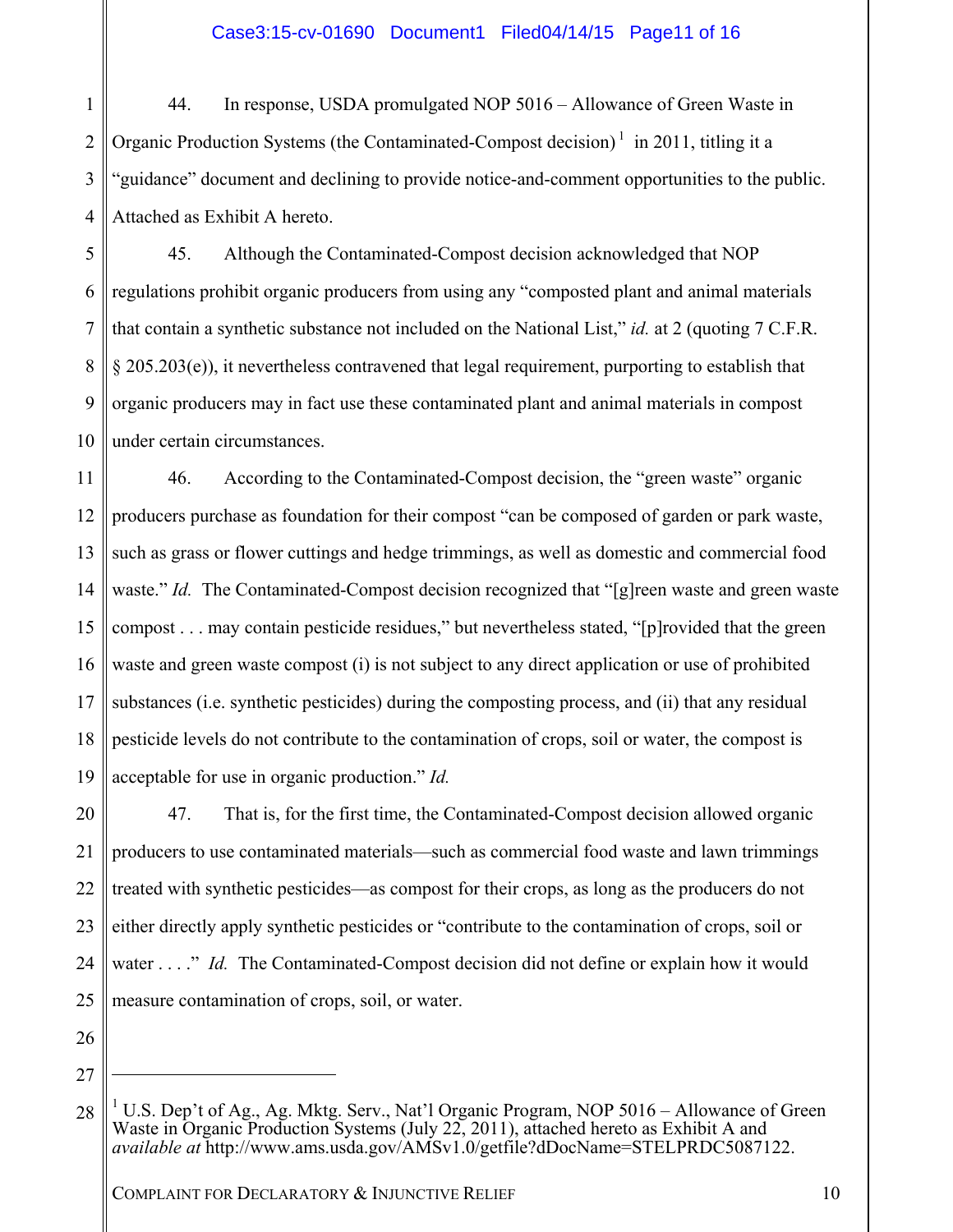1 2 3 4 44. In response, USDA promulgated NOP 5016 – Allowance of Green Waste in Organic Production Systems (the Contaminated-Compost decision)<sup>1</sup> in 2011, titling it a "guidance" document and declining to provide notice-and-comment opportunities to the public. Attached as Exhibit A hereto.

5 6 7 8 9 10 45. Although the Contaminated-Compost decision acknowledged that NOP regulations prohibit organic producers from using any "composted plant and animal materials that contain a synthetic substance not included on the National List," *id.* at 2 (quoting 7 C.F.R. § 205.203(e)), it nevertheless contravened that legal requirement, purporting to establish that organic producers may in fact use these contaminated plant and animal materials in compost under certain circumstances.

11 12 13 14 15 16 17 18 19 46. According to the Contaminated-Compost decision, the "green waste" organic producers purchase as foundation for their compost "can be composed of garden or park waste, such as grass or flower cuttings and hedge trimmings, as well as domestic and commercial food waste." *Id.* The Contaminated-Compost decision recognized that "[g]reen waste and green waste compost . . . may contain pesticide residues," but nevertheless stated, "[p]rovided that the green waste and green waste compost (i) is not subject to any direct application or use of prohibited substances (i.e. synthetic pesticides) during the composting process, and (ii) that any residual pesticide levels do not contribute to the contamination of crops, soil or water, the compost is acceptable for use in organic production." *Id.*

20 21 22 23 24 25 47. That is, for the first time, the Contaminated-Compost decision allowed organic producers to use contaminated materials—such as commercial food waste and lawn trimmings treated with synthetic pesticides—as compost for their crops, as long as the producers do not either directly apply synthetic pesticides or "contribute to the contamination of crops, soil or water . . . ." *Id.* The Contaminated-Compost decision did not define or explain how it would measure contamination of crops, soil, or water.

26 27

 $\overline{a}$ 

<sup>28</sup> <sup>1</sup> U.S. Dep't of Ag., Ag. Mktg. Serv., Nat'l Organic Program, NOP 5016 – Allowance of Green Waste in Organic Production Systems (July 22, 2011), attached hereto as Exhibit A and *available at* http://www.ams.usda.gov/AMSv1.0/getfile?dDocName=STELPRDC5087122.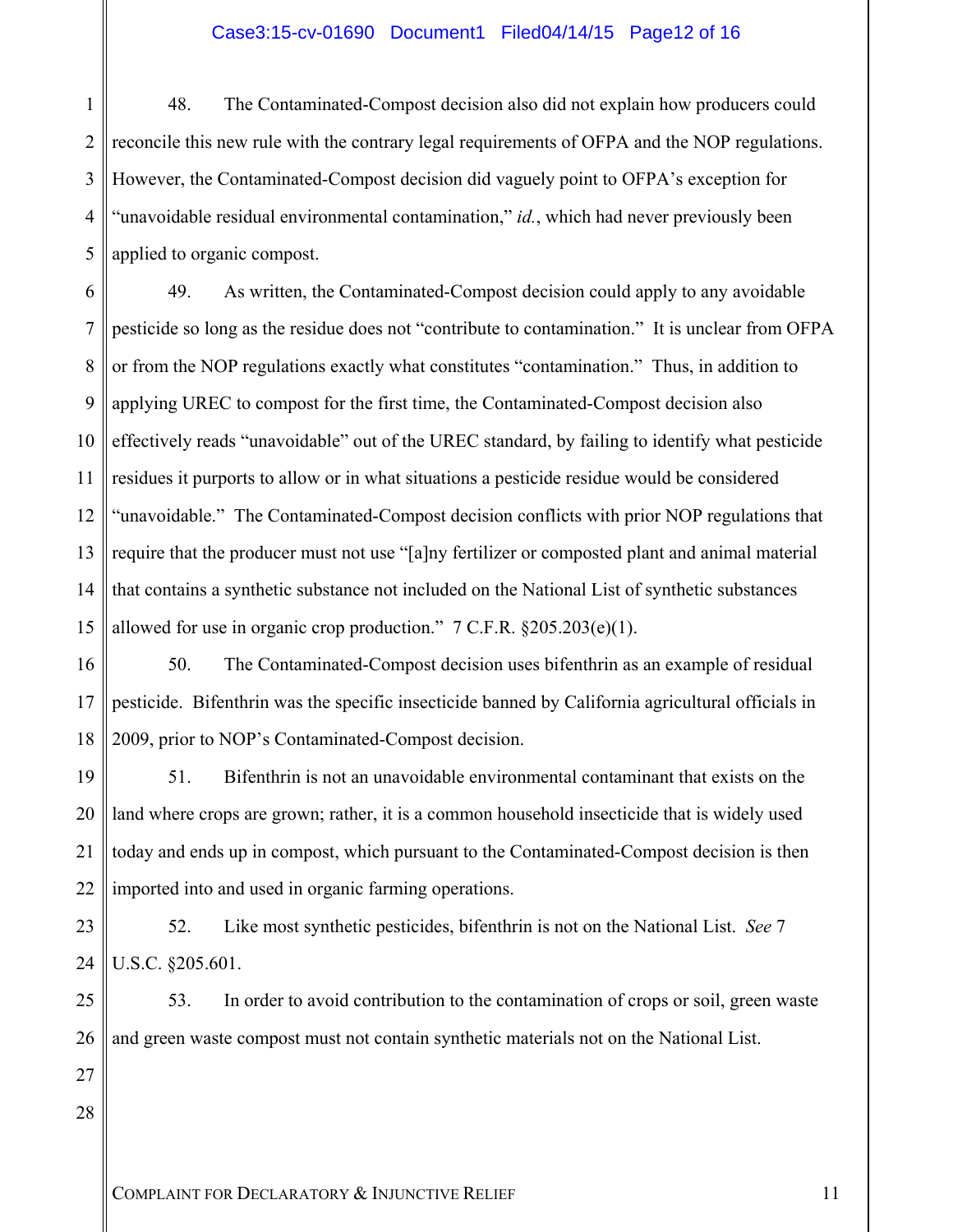#### Case3:15-cv-01690 Document1 Filed04/14/15 Page12 of 16

1 2 3 4 5 48. The Contaminated-Compost decision also did not explain how producers could reconcile this new rule with the contrary legal requirements of OFPA and the NOP regulations. However, the Contaminated-Compost decision did vaguely point to OFPA's exception for "unavoidable residual environmental contamination," *id.*, which had never previously been applied to organic compost.

6 7 8 9 10 11 12 13 14 15 49. As written, the Contaminated-Compost decision could apply to any avoidable pesticide so long as the residue does not "contribute to contamination." It is unclear from OFPA or from the NOP regulations exactly what constitutes "contamination." Thus, in addition to applying UREC to compost for the first time, the Contaminated-Compost decision also effectively reads "unavoidable" out of the UREC standard, by failing to identify what pesticide residues it purports to allow or in what situations a pesticide residue would be considered "unavoidable." The Contaminated-Compost decision conflicts with prior NOP regulations that require that the producer must not use "[a]ny fertilizer or composted plant and animal material that contains a synthetic substance not included on the National List of synthetic substances allowed for use in organic crop production."  $7 \text{ C.F.R. }$  \$205.203(e)(1).

16 17 18 50. The Contaminated-Compost decision uses bifenthrin as an example of residual pesticide. Bifenthrin was the specific insecticide banned by California agricultural officials in 2009, prior to NOP's Contaminated-Compost decision.

19 20 21 22 51. Bifenthrin is not an unavoidable environmental contaminant that exists on the land where crops are grown; rather, it is a common household insecticide that is widely used today and ends up in compost, which pursuant to the Contaminated-Compost decision is then imported into and used in organic farming operations.

23 24 52. Like most synthetic pesticides, bifenthrin is not on the National List. *See* 7 U.S.C. §205.601.

25 26 53. In order to avoid contribution to the contamination of crops or soil, green waste and green waste compost must not contain synthetic materials not on the National List.

27 28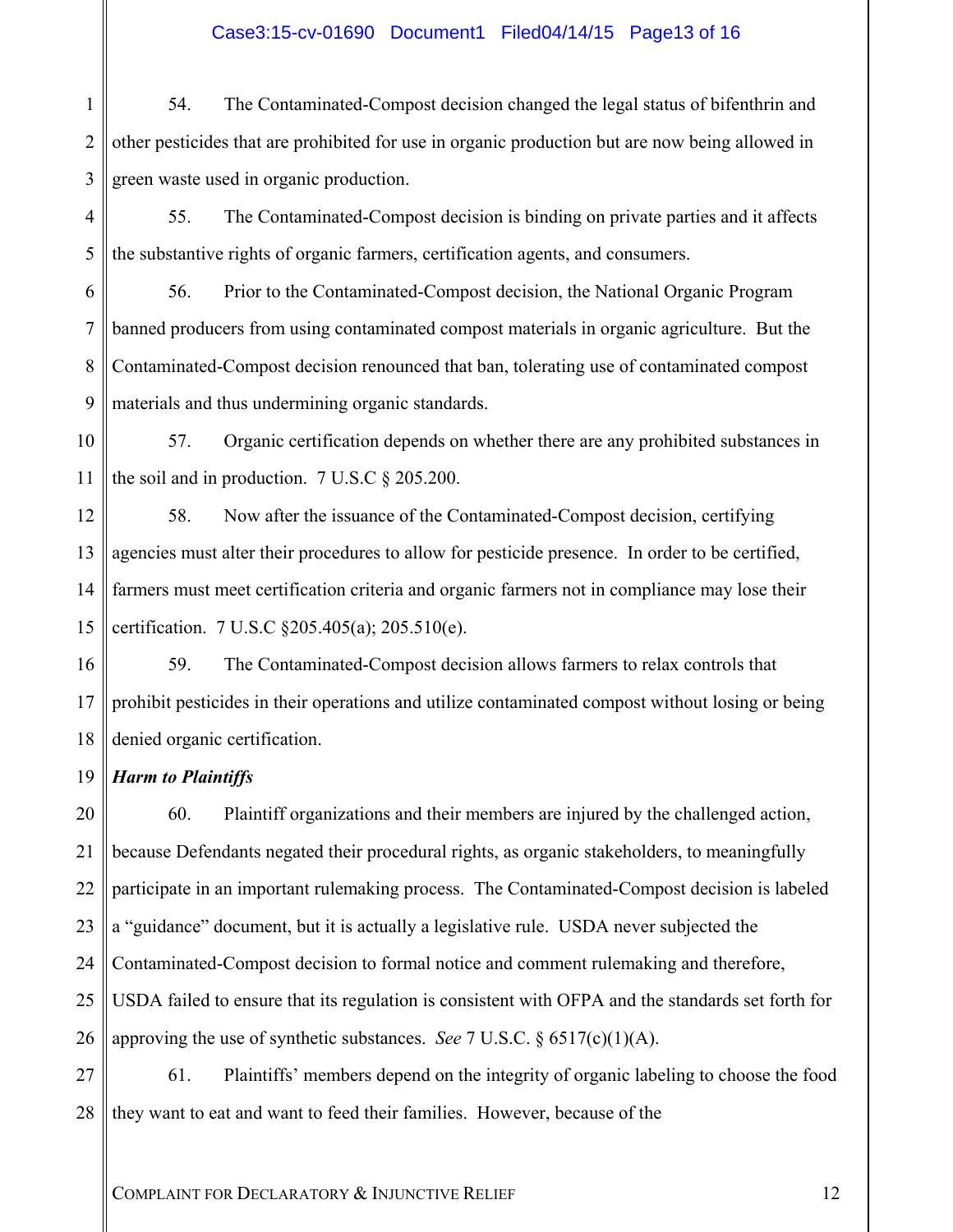# Case3:15-cv-01690 Document1 Filed04/14/15 Page13 of 16

1 2 3 54. The Contaminated-Compost decision changed the legal status of bifenthrin and other pesticides that are prohibited for use in organic production but are now being allowed in green waste used in organic production.

4 5 55. The Contaminated-Compost decision is binding on private parties and it affects the substantive rights of organic farmers, certification agents, and consumers.

6 7 8 9 56. Prior to the Contaminated-Compost decision, the National Organic Program banned producers from using contaminated compost materials in organic agriculture. But the Contaminated-Compost decision renounced that ban, tolerating use of contaminated compost materials and thus undermining organic standards.

10 11 57. Organic certification depends on whether there are any prohibited substances in the soil and in production. 7 U.S.C § 205.200.

12 13 14 15 58. Now after the issuance of the Contaminated-Compost decision, certifying agencies must alter their procedures to allow for pesticide presence. In order to be certified, farmers must meet certification criteria and organic farmers not in compliance may lose their certification. 7 U.S.C §205.405(a); 205.510(e).

16 17 18 59. The Contaminated-Compost decision allows farmers to relax controls that prohibit pesticides in their operations and utilize contaminated compost without losing or being denied organic certification.

19 *Harm to Plaintiffs* 

20 21 22 23 24 25 26 60. Plaintiff organizations and their members are injured by the challenged action, because Defendants negated their procedural rights, as organic stakeholders, to meaningfully participate in an important rulemaking process. The Contaminated-Compost decision is labeled a "guidance" document, but it is actually a legislative rule. USDA never subjected the Contaminated-Compost decision to formal notice and comment rulemaking and therefore, USDA failed to ensure that its regulation is consistent with OFPA and the standards set forth for approving the use of synthetic substances. *See* 7 U.S.C. § 6517(c)(1)(A).

27 28 61. Plaintiffs' members depend on the integrity of organic labeling to choose the food they want to eat and want to feed their families. However, because of the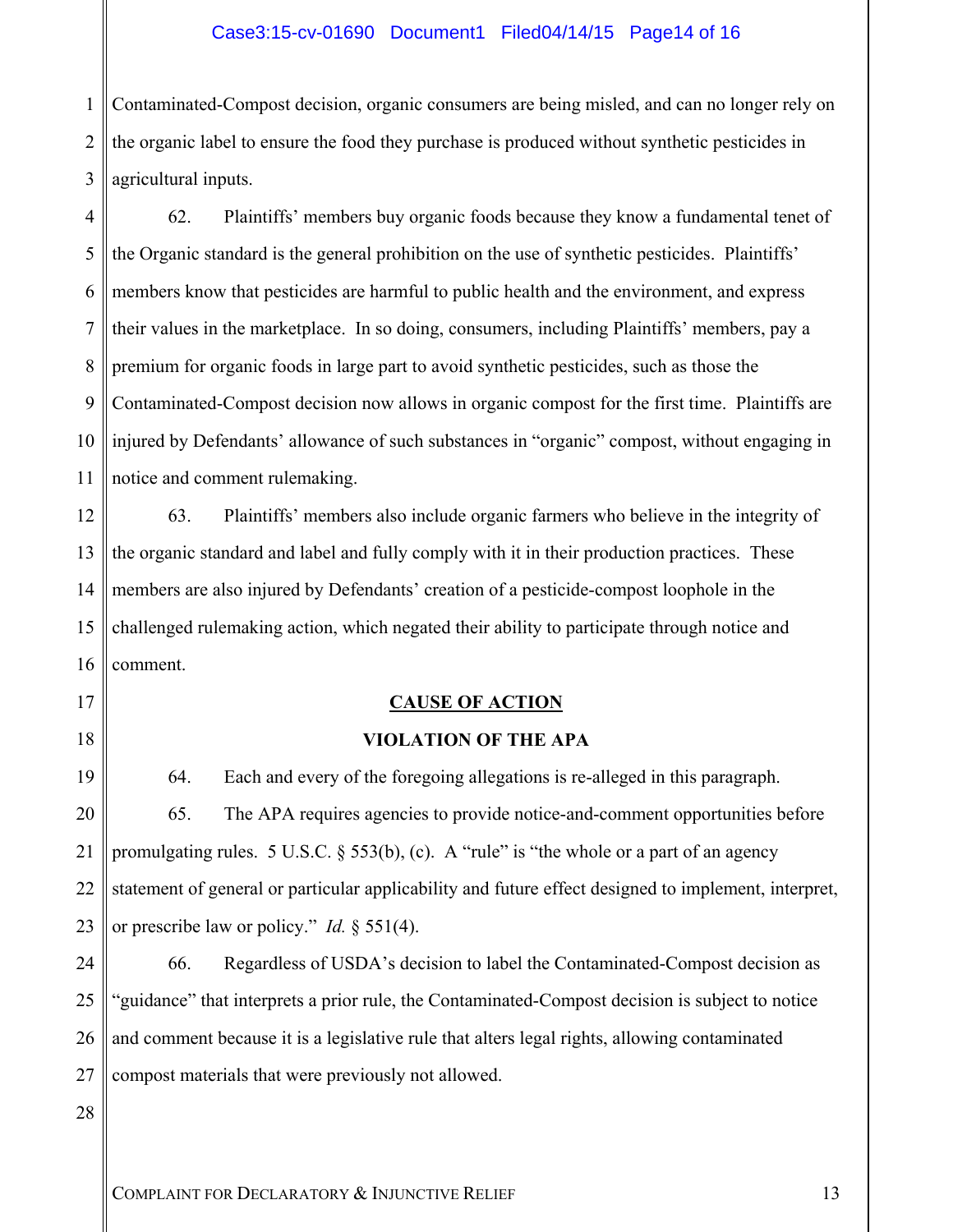#### Case3:15-cv-01690 Document1 Filed04/14/15 Page14 of 16

1 2 3 Contaminated-Compost decision, organic consumers are being misled, and can no longer rely on the organic label to ensure the food they purchase is produced without synthetic pesticides in agricultural inputs.

4 5 6 7 8 9 10 11 62. Plaintiffs' members buy organic foods because they know a fundamental tenet of the Organic standard is the general prohibition on the use of synthetic pesticides. Plaintiffs' members know that pesticides are harmful to public health and the environment, and express their values in the marketplace. In so doing, consumers, including Plaintiffs' members, pay a premium for organic foods in large part to avoid synthetic pesticides, such as those the Contaminated-Compost decision now allows in organic compost for the first time. Plaintiffs are injured by Defendants' allowance of such substances in "organic" compost, without engaging in notice and comment rulemaking.

12 13 14 15 16 63. Plaintiffs' members also include organic farmers who believe in the integrity of the organic standard and label and fully comply with it in their production practices. These members are also injured by Defendants' creation of a pesticide-compost loophole in the challenged rulemaking action, which negated their ability to participate through notice and comment.

# **CAUSE OF ACTION**

#### **VIOLATION OF THE APA**

19 20 21 22 23 64. Each and every of the foregoing allegations is re-alleged in this paragraph. 65. The APA requires agencies to provide notice-and-comment opportunities before promulgating rules. 5 U.S.C. § 553(b), (c). A "rule" is "the whole or a part of an agency statement of general or particular applicability and future effect designed to implement, interpret, or prescribe law or policy." *Id.* § 551(4).

24 25 26 27 66. Regardless of USDA's decision to label the Contaminated-Compost decision as 'guidance'' that interprets a prior rule, the Contaminated-Compost decision is subject to notice and comment because it is a legislative rule that alters legal rights, allowing contaminated compost materials that were previously not allowed.

28

17

18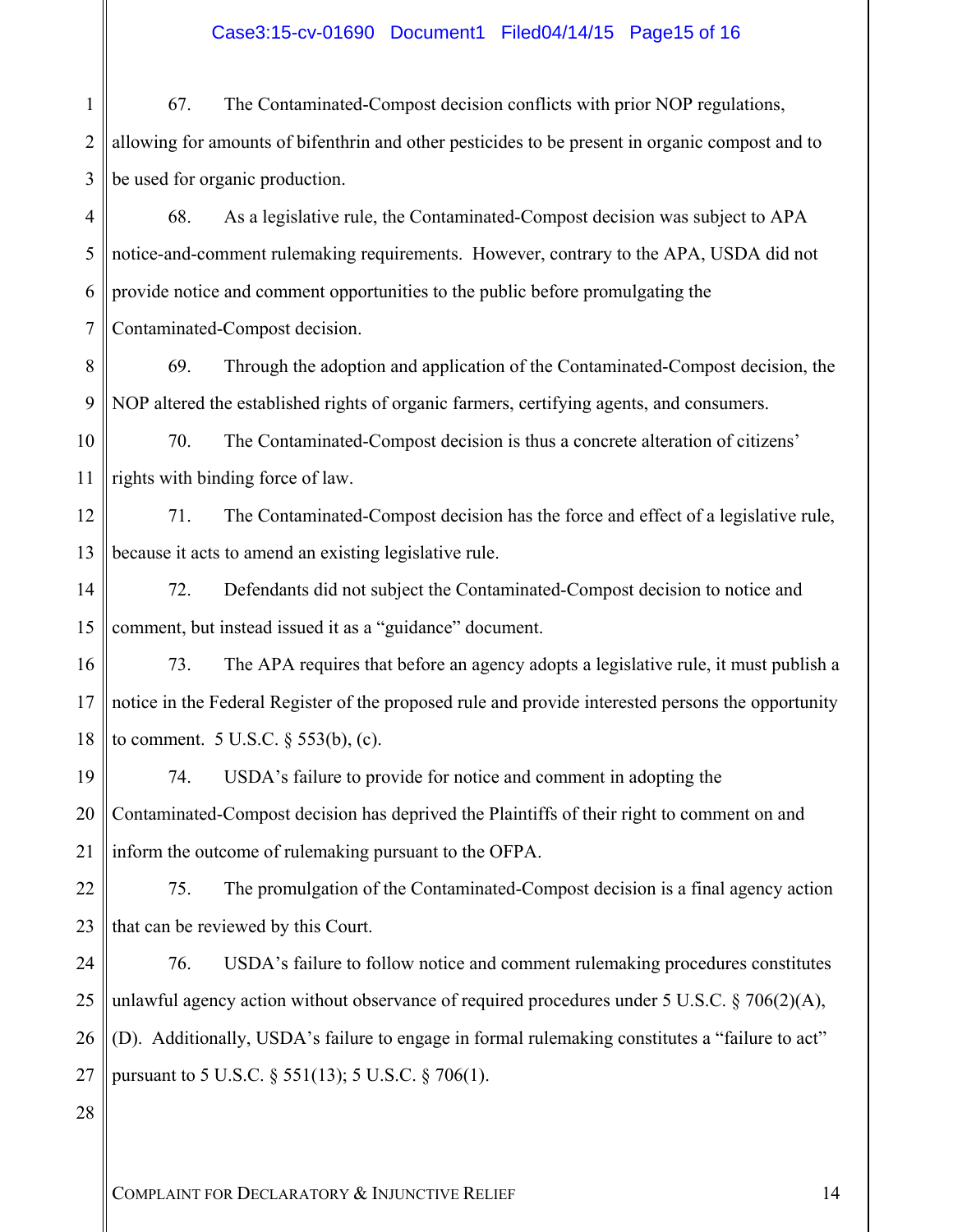### Case3:15-cv-01690 Document1 Filed04/14/15 Page15 of 16

1 2 3 67. The Contaminated-Compost decision conflicts with prior NOP regulations, allowing for amounts of bifenthrin and other pesticides to be present in organic compost and to be used for organic production.

4 5 6 7 68. As a legislative rule, the Contaminated-Compost decision was subject to APA notice-and-comment rulemaking requirements. However, contrary to the APA, USDA did not provide notice and comment opportunities to the public before promulgating the Contaminated-Compost decision.

8 9 69. Through the adoption and application of the Contaminated-Compost decision, the NOP altered the established rights of organic farmers, certifying agents, and consumers.

10 11 70. The Contaminated-Compost decision is thus a concrete alteration of citizens' rights with binding force of law.

12 13 71. The Contaminated-Compost decision has the force and effect of a legislative rule, because it acts to amend an existing legislative rule.

14 15 72. Defendants did not subject the Contaminated-Compost decision to notice and comment, but instead issued it as a "guidance" document.

16 17 18 73. The APA requires that before an agency adopts a legislative rule, it must publish a notice in the Federal Register of the proposed rule and provide interested persons the opportunity to comment.  $5 \text{ U.S.C.} \$  $553(b)$ , (c).

19 20 21 74. USDA's failure to provide for notice and comment in adopting the Contaminated-Compost decision has deprived the Plaintiffs of their right to comment on and inform the outcome of rulemaking pursuant to the OFPA.

22 23 75. The promulgation of the Contaminated-Compost decision is a final agency action that can be reviewed by this Court.

24 25 26 27 76. USDA's failure to follow notice and comment rulemaking procedures constitutes unlawful agency action without observance of required procedures under 5 U.S.C. § 706(2)(A), (D). Additionally, USDA's failure to engage in formal rulemaking constitutes a "failure to act" pursuant to 5 U.S.C. § 551(13); 5 U.S.C. § 706(1).

28